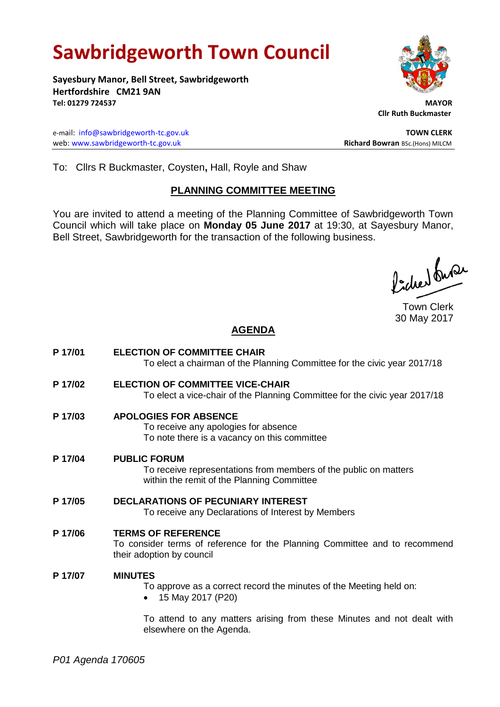# **Sawbridgeworth Town Council**

**Sayesbury Manor, Bell Street, Sawbridgeworth Hertfordshire CM21 9AN Tel: 01279 724537 MAYOR**

e-mail: [info@sawbridgeworth-tc.gov.uk](mailto:info@sawbridgeworth-tc.gov.uk) **TOWN CLERK** web: www.sawbridgeworth-tc.gov.uk<br> **Richard Bowran** BSc.(Hons) MILCM

 **Cllr Ruth Buckmaster** 

To: Cllrs R Buckmaster, Coysten**,** Hall, Royle and Shaw

# **PLANNING COMMITTEE MEETING**

You are invited to attend a meeting of the Planning Committee of Sawbridgeworth Town Council which will take place on **Monday 05 June 2017** at 19:30, at Sayesbury Manor, Bell Street, Sawbridgeworth for the transaction of the following business.

ladres buse

Town Clerk 30 May 2017

# **AGENDA**

**P 17/01 ELECTION OF COMMITTEE CHAIR** To elect a chairman of the Planning Committee for the civic year 2017/18 **P 17/02 ELECTION OF COMMITTEE VICE-CHAIR** To elect a vice-chair of the Planning Committee for the civic year 2017/18 **P 17/03 APOLOGIES FOR ABSENCE** To receive any apologies for absence To note there is a vacancy on this committee **P 17/04 PUBLIC FORUM** To receive representations from members of the public on matters within the remit of the Planning Committee **P 17/05 DECLARATIONS OF PECUNIARY INTEREST** To receive any Declarations of Interest by Members **P 17/06 TERMS OF REFERENCE** To consider terms of reference for the Planning Committee and to recommend their adoption by council **P 17/07 MINUTES** To approve as a correct record the minutes of the Meeting held on: • 15 May 2017 (P20) To attend to any matters arising from these Minutes and not dealt with

elsewhere on the Agenda.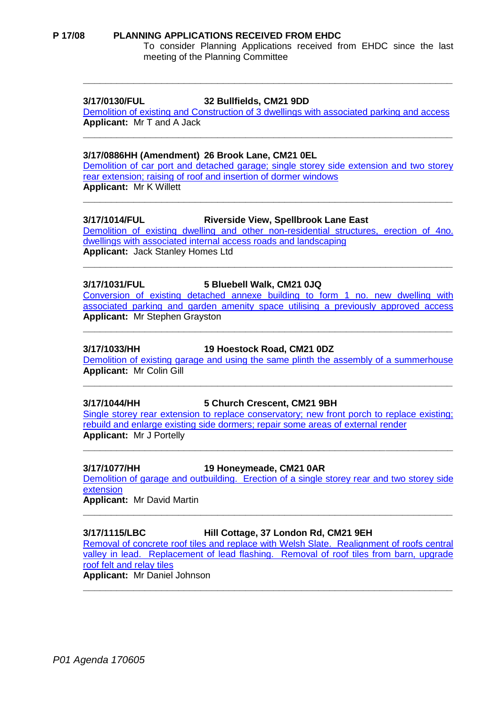#### **P 17/08 PLANNING APPLICATIONS RECEIVED FROM EHDC**

To consider Planning Applications received from EHDC since the last meeting of the Planning Committee

### **3/17/0130/FUL 32 Bullfields, CM21 9DD**

Demolition of existing and Construction of 3 [dwellings with associated parking and access](https://publicaccess.eastherts.gov.uk/online-applications/applicationDetails.do?activeTab=summary&keyVal=OK1028GLMYG00) **Applicant:** Mr T and A Jack

**\_\_\_\_\_\_\_\_\_\_\_\_\_\_\_\_\_\_\_\_\_\_\_\_\_\_\_\_\_\_\_\_\_\_\_\_\_\_\_\_\_\_\_\_\_\_\_\_\_\_\_\_\_\_\_\_\_\_\_\_\_\_\_\_\_\_**

**\_\_\_\_\_\_\_\_\_\_\_\_\_\_\_\_\_\_\_\_\_\_\_\_\_\_\_\_\_\_\_\_\_\_\_\_\_\_\_\_\_\_\_\_\_\_\_\_\_\_\_\_\_\_\_\_\_\_\_\_\_\_\_\_\_\_**

#### **3/17/0886HH (Amendment) 26 Brook Lane, CM21 0EL**

[Demolition of car port and detached garage; single storey side extension and two storey](https://publicaccess.eastherts.gov.uk/online-applications/applicationDetails.do?activeTab=summary&keyVal=OO78GCGLGDX00)  [rear extension; raising of roof and insertion of dormer windows](https://publicaccess.eastherts.gov.uk/online-applications/applicationDetails.do?activeTab=summary&keyVal=OO78GCGLGDX00) **Applicant:** Mr K Willett

**\_\_\_\_\_\_\_\_\_\_\_\_\_\_\_\_\_\_\_\_\_\_\_\_\_\_\_\_\_\_\_\_\_\_\_\_\_\_\_\_\_\_\_\_\_\_\_\_\_\_\_\_\_\_\_\_\_\_\_\_\_\_\_\_\_\_**

#### **3/17/1014/FUL Riverside View, Spellbrook Lane East**

[Demolition of existing dwelling and other non-residential structures, erection of 4no.](https://publicaccess.eastherts.gov.uk/online-applications/applicationDetails.do?activeTab=summary&keyVal=OP2EO3GLGLE00)  [dwellings with associated internal access roads and landscaping](https://publicaccess.eastherts.gov.uk/online-applications/applicationDetails.do?activeTab=summary&keyVal=OP2EO3GLGLE00) **Applicant:** Jack Stanley Homes Ltd

**\_\_\_\_\_\_\_\_\_\_\_\_\_\_\_\_\_\_\_\_\_\_\_\_\_\_\_\_\_\_\_\_\_\_\_\_\_\_\_\_\_\_\_\_\_\_\_\_\_\_\_\_\_\_\_\_\_\_\_\_\_\_\_\_\_\_**

#### **3/17/1031/FUL 5 Bluebell Walk, CM21 0JQ**

[Conversion of existing detached annexe building to form 1 no. new dwelling with](https://publicaccess.eastherts.gov.uk/online-applications/applicationDetails.do?activeTab=summary&keyVal=OP89RXGLGMO00)  [associated parking and garden amenity space utilising a previously approved access](https://publicaccess.eastherts.gov.uk/online-applications/applicationDetails.do?activeTab=summary&keyVal=OP89RXGLGMO00) **Applicant:** Mr Stephen Grayston

**\_\_\_\_\_\_\_\_\_\_\_\_\_\_\_\_\_\_\_\_\_\_\_\_\_\_\_\_\_\_\_\_\_\_\_\_\_\_\_\_\_\_\_\_\_\_\_\_\_\_\_\_\_\_\_\_\_\_\_\_\_\_\_\_\_\_**

#### **3/17/1033/HH 19 Hoestock Road, CM21 0DZ**

[Demolition of existing garage and using the same plinth the assembly of a summerhouse](https://publicaccess.eastherts.gov.uk/online-applications/applicationDetails.do?activeTab=summary&keyVal=OPA4G1GLGMV00) **Applicant:** Mr Colin Gill

**\_\_\_\_\_\_\_\_\_\_\_\_\_\_\_\_\_\_\_\_\_\_\_\_\_\_\_\_\_\_\_\_\_\_\_\_\_\_\_\_\_\_\_\_\_\_\_\_\_\_\_\_\_\_\_\_\_\_\_\_\_\_\_\_\_\_**

#### **3/17/1044/HH 5 Church Crescent, CM21 9BH**

[Single storey rear extension to replace conservatory; new front porch to replace existing;](https://publicaccess.eastherts.gov.uk/online-applications/applicationDetails.do?activeTab=summary&keyVal=OPBPJ7GL00X00)  [rebuild and enlarge existing side dormers; repair some areas of external](https://publicaccess.eastherts.gov.uk/online-applications/applicationDetails.do?activeTab=summary&keyVal=OPBPJ7GL00X00) render **Applicant:** Mr J Portelly

**\_\_\_\_\_\_\_\_\_\_\_\_\_\_\_\_\_\_\_\_\_\_\_\_\_\_\_\_\_\_\_\_\_\_\_\_\_\_\_\_\_\_\_\_\_\_\_\_\_\_\_\_\_\_\_\_\_\_\_\_\_\_\_\_\_\_**

#### **3/17/1077/HH 19 Honeymeade, CM21 0AR**

[Demolition of garage and outbuilding. Erection of a single storey rear and two storey side](https://publicaccess.eastherts.gov.uk/online-applications/applicationDetails.do?activeTab=summary&keyVal=OPMS01GLGPE00)  [extension](https://publicaccess.eastherts.gov.uk/online-applications/applicationDetails.do?activeTab=summary&keyVal=OPMS01GLGPE00)

**\_\_\_\_\_\_\_\_\_\_\_\_\_\_\_\_\_\_\_\_\_\_\_\_\_\_\_\_\_\_\_\_\_\_\_\_\_\_\_\_\_\_\_\_\_\_\_\_\_\_\_\_\_\_\_\_\_\_\_\_\_\_\_\_\_\_**

**Applicant:** Mr David Martin

#### **3/17/1115/LBC Hill Cottage, 37 London Rd, CM21 9EH**

[Removal of concrete roof tiles and replace with Welsh Slate. Realignment of roofs central](https://publicaccess.eastherts.gov.uk/online-applications/applicationDetails.do?activeTab=summary&keyVal=OPTVHNGLGRM00)  [valley in lead. Replacement of lead flashing. Removal of roof tiles from barn, upgrade](https://publicaccess.eastherts.gov.uk/online-applications/applicationDetails.do?activeTab=summary&keyVal=OPTVHNGLGRM00)  [roof felt and relay tiles](https://publicaccess.eastherts.gov.uk/online-applications/applicationDetails.do?activeTab=summary&keyVal=OPTVHNGLGRM00) **Applicant:** Mr Daniel Johnson

**\_\_\_\_\_\_\_\_\_\_\_\_\_\_\_\_\_\_\_\_\_\_\_\_\_\_\_\_\_\_\_\_\_\_\_\_\_\_\_\_\_\_\_\_\_\_\_\_\_\_\_\_\_\_\_\_\_\_\_\_\_\_\_\_\_\_**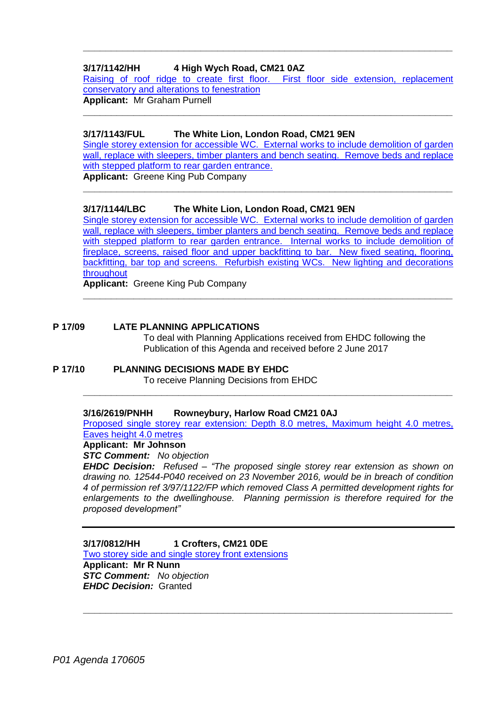# **3/17/1142/HH 4 High Wych Road, CM21 0AZ**

[Raising of roof ridge to create first floor. First floor side extension, replacement](https://publicaccess.eastherts.gov.uk/online-applications/applicationDetails.do?activeTab=summary&keyVal=OPZQN9GLGTD00)  [conservatory and alterations to fenestration](https://publicaccess.eastherts.gov.uk/online-applications/applicationDetails.do?activeTab=summary&keyVal=OPZQN9GLGTD00) **Applicant:** Mr Graham Purnell

**\_\_\_\_\_\_\_\_\_\_\_\_\_\_\_\_\_\_\_\_\_\_\_\_\_\_\_\_\_\_\_\_\_\_\_\_\_\_\_\_\_\_\_\_\_\_\_\_\_\_\_\_\_\_\_\_\_\_\_\_\_\_\_\_\_\_**

**\_\_\_\_\_\_\_\_\_\_\_\_\_\_\_\_\_\_\_\_\_\_\_\_\_\_\_\_\_\_\_\_\_\_\_\_\_\_\_\_\_\_\_\_\_\_\_\_\_\_\_\_\_\_\_\_\_\_\_\_\_\_\_\_\_\_**

### **3/17/1143/FUL The White Lion, London Road, CM21 9EN**

[Single storey extension for accessible WC. External works to include demolition of garden](https://publicaccess.eastherts.gov.uk/online-applications/applicationDetails.do?activeTab=summary&keyVal=OQ01QLGLGTG00)  wall, replace with sleepers, timber planters and bench seating. Remove beds and replace [with stepped platform to rear garden entrance.](https://publicaccess.eastherts.gov.uk/online-applications/applicationDetails.do?activeTab=summary&keyVal=OQ01QLGLGTG00)

**\_\_\_\_\_\_\_\_\_\_\_\_\_\_\_\_\_\_\_\_\_\_\_\_\_\_\_\_\_\_\_\_\_\_\_\_\_\_\_\_\_\_\_\_\_\_\_\_\_\_\_\_\_\_\_\_\_\_\_\_\_\_\_\_\_\_**

**Applicant:** Greene King Pub Company

## **3/17/1144/LBC The White Lion, London Road, CM21 9EN**

[Single storey extension for accessible WC. External works to include demolition of garden](https://publicaccess.eastherts.gov.uk/online-applications/applicationDetails.do?activeTab=summary&keyVal=OQ01R0GLGTH00)  wall, replace with sleepers, timber planters and bench seating. Remove beds and replace with stepped platform to rear garden entrance. Internal works to include demolition of [fireplace, screens, raised floor and upper backfitting to bar. New fixed seating, flooring,](https://publicaccess.eastherts.gov.uk/online-applications/applicationDetails.do?activeTab=summary&keyVal=OQ01R0GLGTH00)  [backfitting, bar top and screens. Refurbish existing WCs. New lighting and decorations](https://publicaccess.eastherts.gov.uk/online-applications/applicationDetails.do?activeTab=summary&keyVal=OQ01R0GLGTH00)  [throughout](https://publicaccess.eastherts.gov.uk/online-applications/applicationDetails.do?activeTab=summary&keyVal=OQ01R0GLGTH00)

**\_\_\_\_\_\_\_\_\_\_\_\_\_\_\_\_\_\_\_\_\_\_\_\_\_\_\_\_\_\_\_\_\_\_\_\_\_\_\_\_\_\_\_\_\_\_\_\_\_\_\_\_\_\_\_\_\_\_\_\_\_\_\_\_\_\_**

**Applicant:** Greene King Pub Company

### **P 17/09 LATE PLANNING APPLICATIONS**

To deal with Planning Applications received from EHDC following the Publication of this Agenda and received before 2 June 2017

#### **P 17/10 PLANNING DECISIONS MADE BY EHDC** To receive Planning Decisions from EHDC

### **3/16/2619/PNHH Rowneybury, Harlow Road CM21 0AJ**

[Proposed single storey rear extension: Depth 8.0 metres, Maximum height 4.0 metres,](https://publicaccess.eastherts.gov.uk/online-applications/applicationDetails.do?activeTab=summary&keyVal=OH59ZJGL03S00)  [Eaves height 4.0 metres](https://publicaccess.eastherts.gov.uk/online-applications/applicationDetails.do?activeTab=summary&keyVal=OH59ZJGL03S00)

**\_\_\_\_\_\_\_\_\_\_\_\_\_\_\_\_\_\_\_\_\_\_\_\_\_\_\_\_\_\_\_\_\_\_\_\_\_\_\_\_\_\_\_\_\_\_\_\_\_\_\_\_\_\_\_\_\_\_\_\_\_\_\_\_\_\_**

#### **Applicant: Mr Johnson**

*STC Comment: No objection*

*EHDC Decision: Refused – "The proposed single storey rear extension as shown on drawing no. 12544-P040 received on 23 November 2016, would be in breach of condition 4 of permission ref 3/97/1122/FP which removed Class A permitted development rights for enlargements to the dwellinghouse. Planning permission is therefore required for the proposed development"*

**\_\_\_\_\_\_\_\_\_\_\_\_\_\_\_\_\_\_\_\_\_\_\_\_\_\_\_\_\_\_\_\_\_\_\_\_\_\_\_\_\_\_\_\_\_\_\_\_\_\_\_\_\_\_\_\_\_\_\_\_\_\_\_\_\_\_**

**3/17/0812/HH 1 Crofters, CM21 0DE** [Two storey side and single storey front](https://publicaccess.eastherts.gov.uk/online-applications/applicationDetails.do?activeTab=summary&keyVal=ONQ9B9GLGAB00) extensions **Applicant: Mr R Nunn** *STC Comment: No objection EHDC Decision:* Granted